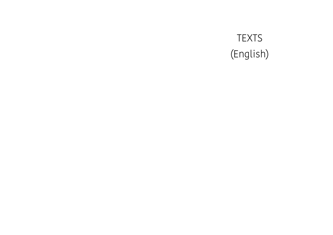TEXTS (English)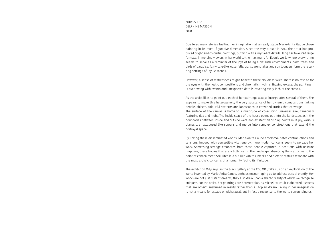"ODYSSEES" DELPHINE MASSON 2020

Due to so many stories fuelling her imagination, at an early stage Marie-Anita Gaube chose painting in its most figurative dimension. Since the very outset in 2012, the artist has produced bright and colourful paintings, buzzing with a myriad of details lling her favoured large formats, immersing viewers in her world to the maximum. An Edenic world where every- thing seems to serve as a reminder of the joys of being alive: lush environments, palm trees and birds of paradise, fairy- tale-like waterfalls, transparent lakes and sun loungers form the recurring settings of idyllic scenes.

However, a sense of restlessness reigns beneath these cloudless skies. There is no respite for the eyes with the hectic compositions and chromatic rhythms. Braving excess, the painting is over owing with events and unexpected details covering every inch of the canvas.

As the artist likes to point out, each of her paintings always incorporates several of them. She appears to make this heterogeneity the very substance of her dynamic compositions linking people, objects, colourful patterns and landscapes in entwined stories that converge. The surface of the canvas is home to a multitude of co-existing universes simultaneously featuring day and night. The inside space of the house opens out into the landscape, as if the boundaries between inside and outside were non-existent. Vanishing points multiply, various planes are juxtaposed like screens and merge into complex constructions that extend the portrayal space.

By linking these disseminated worlds, Marie-Anita Gaube accommo- dates contradictions and tensions. Imbued with perceptible vital energy, more hidden concerns seem to pervade her work. Something strange emanates from these people captured in positions with obscure purposes, these bodies that are a little lost in the landscape absorbing them at times to the point of concealment. Still lifes laid out like vanitas, masks and hieratic statues resonate with the most archaic concerns of a humanity facing its finitude.

The exhibition Odysseys, in the black gallery at the CCC OD , takes us on an exploration of the world invented by Marie-Anita Gaube, perhaps encour- aging us to address ours di erently. Her works are not just distant dreams, they also draw upon a shared reality of which we recognise snippets. For the artist, her paintings are heterotopias, as Michel Foucault elaborated: "spaces that are other", enshrined in reality rather than a utopian dream. Living in her imagination is not a means for escape or withdrawal, but in fact a response to the world surrounding us.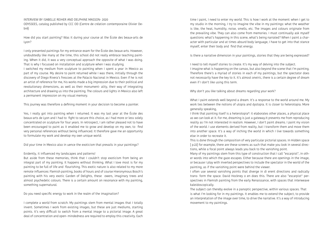INTERVIEW BY ISABELLE REIHER AND DELPHINE MASSON- 2020 ODYSSEES, catalog published by CCC OD (Centre de création contemporaine Olivier Debré)

How did you start painting? Was it during your course at the École des beaux-arts de Lyon?

I only presented paintings for my entrance exam for the École des beaux-arts. However, undoubtedly like many at the time, this school did not really embrace teaching painting. When it did, it was a very conceptual approach the opposite of what I was doing. That is why I focussed on installation and sculpture when I was studying.

I switched my medium from sculpture to painting when I spent a year in Mexico as part of my course. My desire to paint returned while I was there, initially through the discovery of Diego Rivera's frescoes at the Palacio Nacional in Mexico. Even if he is not an artist of reference for me, his works made a big impression due to their political and revolutionary dimensions, as well as their monument- ality, their way of integrating architecture and drawing us into the painting. The colours and lights in Mexico also left a permanent impression on my visual memory.

This journey was therefore a defining moment in your decision to become a painter.

Yes, I really got into painting when I returned. It was my last year at the École des beaux-arts de Lyon and I had to fight to secure this choice, as I had more or less solely concentrated on sculpture for four years. In retrospect, I am rather pleased not to have been encouraged to paint as it enabled me to grow and develop on my own, to find very personal references without being influenced. It therefore gave me an opportunity to formulate my work and develop my own unique world.

Did your time in Mexico also in uence the exoticism that prevails in your paintings?

# Evidently, it influenced my landscapes and patterns!

But aside from these memories, think that I couldn't stop exoticism from being an integral part of my painting. It happens without thinking. What I love most is for my painting to be full of life and flourishing. This exotic nature is also related to my more remote influences: Flemish painting, books of hours and of course Hieronymous Bosch's painting with his very exotic Garden of Delights, these owers, imaginary trees and almost psychedelic colours. There is a certain amount on resonance with my painting, something supernatural.

Do you need specific energy to work in the realm of the imagination?

I complete a world from scratch. My paintings stem from mental images that I totally invent. Sometimes I work from existing images, but these are just mediums, starting points. It's very difficult to switch from a mental image to a pictorial image. A great deal of concentration and open- mindedness are required to employ this creativity. Each

time I paint, I need to enter my world. This is how I work at the moment: when I get to my studio in the morning, I try to imagine the vibe in my paintings: what the weather is like, the heat, humidity, noise, smells, etc. The images and colours originate from the prevailing vibe. They can also come from memories. I must continually ask myself questions: what's happening in this scene, what's being narrated? When I paint a character with particular and at times absurd body language, I have to get into that stance myself, enter their body and find that energy.

Is there a narrative dimension in your paintings, stories that they are being expressed?

I need to tell myself stories to create. It's my way of delving into the subject. I imagine what is happening on the canvas, but also beyond the scene that I'm painting. Therefore there's a myriad of stories in each of my paintings, but the spectator does not necessarily have the key to it. It's almost oneiric, there is a certain degree of dream even if I don't like using this term.

Why don't you like talking about dreams regarding your work?

What I paint extends well beyond a dream. It's a response to the world around me. My work lies between the notions of utopia and dystopia. It is closer to heterotopia. More generally speaking,

I think that painting itself is a heterotopia\*: it elaborates other places, a physical place as we can look at it. For me, dreaming is just a gateway.It prevents me from reproducing reality as I'm not interested in realism. However, I don't paint dreams. I paint my vision of the world. I use elements derived from reality, but I transform them and move them into another space. It's a way of inching the world in which I live towards something else in order to recreate it.

This is done through the composition of very particular pictorial spaces. In Hidden space [p.22] for example, there are these screens as such that make you look in several directions, while a focal point always leads you back to the vanishing point. Many of my paintings stem from this type of construction that I call "escarpist", in other words into which the gaze escapes. Either because there are openings in the image, or because I play with inverted perspectives to include the spectator in the world of the painting, as if the vanishing point were behind the viewer. I often use several vanishing points that diverge in di erent directions and radically trans- form the space. David Hockney o en does this. There are also "escarpist" perspectives in Flemish painting from the early Renaissance, with spaces that interweave kaleidoscopically.

The subject can thereby evolve in a panoptic perspective, within various spaces. That is what I'm looking for in my paintings. It enables me to extend the subject, to provide an interpretation of the image over time, to drive the narrative. It's a way of introducing movement to my paintings.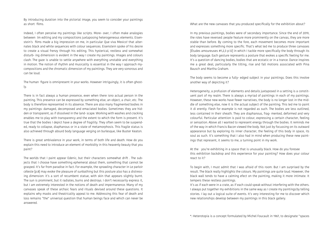By introducing duration into the pictorial image, you seem to consider your paintings as short films.

Indeed, I often perceive my paintings like scripts. More- over, I often make analogies between lm editing and my compositions juxtaposing heterogeneous elements. Eisenstein's films made a big impression on me, in particular Que viva Mexico! that alternates black and white sequences with colour sequences. Eisenstein spoke of his desire to create a visual frenzy through his editing. This hysterical, restless and somewhat disturb- ing dimension is evident in the way I create my paintings. Images and colours clash. The gaze is unable to settle anywhere with everything unstable and everything in motion. The notion of rhythm and musicality is essential in the way I approach mycompositions and the chromatic dimension of my paintings. They are very sonorous and can be loud.

The human figure is omnipresent in your works. However intriguingly, it is often ghostly.

There is in fact always a human presence, even when there isno actual person in the painting. This presence can be expressed by something else, an object, a chair, etc. The body is therefore represented in its absence. There are also many fragmented bodies in my paintings: damaged, decomposed and emaciated bodies. Sometimes they are hidden or transparent, as if dissolved in the land- scape. Working with washes and cracking enables me to play with transparency and the extent to which the form is present. It's true that the bodies I depict have a degree of fragility. They often seem to be suspended, ready to collapse, diaphanous or in a state of metamorphosis. This fragile status is also achieved through absurd body language verging on burlesque, like Buster Keaton.

There is great ambivalence in your work, in terms of both life and death. How do you explain this need to introduce an element of morbidity in this heavenly beauty that you paint?

The worlds that I paint appear Edenic, but their characters somewhat drift . The subjects that I choose have something ephemeral about them, something that cannot be grasped. It's far from paradise in fact. For example, the sprawling character in Le parloir céleste [p.8] may evoke the pleasure of sunbathing but this posture also has a distressing dimension: it's a sort of recumbent statue, with skin that appears slightly burnt. The sun is prominent, but it radiates, burns and destroys. I don't necessarily express it, but I am extremely interested in the notions of death and impermanence. Many of my canvases speak of these archaic fears and rituals devised around these questions. It explains why masks and theatricality appeal to me. Addressing this fear of death and loss remains "the" universal question that human beings face and which can never be answered.

What are the new canvases that you produced specifically for the exhibition about?

In my previous paintings, bodies were of secondary importance. Since the end of 2019, the roles have reversed: people feature more prominently on the canvas, they are more stable than before. By coming to the fore, each movement becomes more important and expresses something more specific. That's what led me to produce three canvases [Études amoureuses #1,2,3 p.12] in which I tackle more specifically the body through its body language. Each gesture represents a posture that evokes a specific feeling for me. It's a question of dancing bodies, bodies that are ecstatic or in a trance. Dance inspires me a great deal, particularly the tilting, rise and fall motions associated with Pina Bausch and Martha Graham.

The body seems to become a fully- edged subject in your paintings. Does this involve another way of depicting it?

Heterogeneity, a profusion of elements and details juxtaposed in a setting is a constituent part of my realm. There is always a myriad of paintings in each of my paintings. However, these new works have fewer narratives, the body is no longer lost in the middle of something else, now it is the actual subject of the painting. This led me to paint it di erently. Flesh for example is not regarded as such. The bodies are less outlined, less contained in their sheath. They are diaphanous, frag- mented, deformed and very colourful. Particular attention is paid to colour, expressing a certain character, feeling or sensation. Above all I wanted to represent energy through the bodies. It reminds me of the way in which Francis Bacon viewed the body. Not just by focussing on its outward appearance but by exploring its inner character, the feeling of this body in space, its soul as such. It's something that I also had in mind when producing these new paintings that represent, it seems to me, a turning point in my work.

At the you're exhibiting in a space that is unusually black. How do you foresee this exhibition backdrop and this experience for your painting? How does your colour react to it?

To begin with, I must admit that I was afraid of this room. But I am surprised by the result. The black really highlights the colours. My paintings are quite loud. However, the black wall tends to have a calming efect on the painting, making it more intimate. It tempers these restless paintings. It's as if each were in a crate, as if each could speak without interfering with the others. I always put together my exhibitions in the same way as I create my paintings:by telling stories. I lay out a logical suite of events. It's very interesting for me to discover which new relationships develop between my paintings in this black gallery.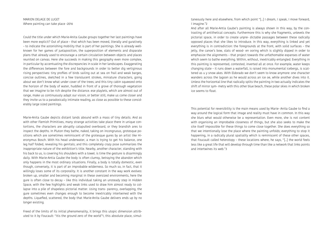MARION DELAGE DE LUGET Where painting can take place -2016

Could the title under which Marie-Anita Gaube groups together her last paintings have been more explicit? Out of place – that which has been moved, literally and guratively – to indicate the astonishing mobility that is part of her paintings. She is already wellknown for her games of juxtaposition, the superposition of elements and disparate plans that already used to encourage a certain circulation between objects and places reunited on canvas. Here she succeeds in making this geography even more complex, in particular by accentuating the discrepancies in scale in her landscapes. Exaggerating the differences between the fore and backgrounds in order to better dig vertiginous rising perspectives: tiny profiles of birds sailing out at sea on frail and weak barges, concise outlines, sketched in a few translucent strokes, miniature characters, going about we don't know what under cover of the trees; and this tiny cabin squeezed onto the horizon of the body of water, huddled in front of a grove of thorough vegetation that we imagine to be rich despite the distance. ese playlets, which are almost out of range, make us continuously adapt our vision, or better still, make us come closer and they invite us to a paradoxically intimate reading, as close as possible to these considerably large sized paintings.

Marie-Anita Gaube depicts distant lands abound with a mass of tiny details. And as with other Flemish Primitives, many strange activities take place there in unique contortions, the characters are abruptly catapulted overboard, or they brandish ares to inspect the depths. In Pluton they bathe, naked, taking on incongruous, grotesque positions which are sometimes reminiscent of the grotesque gures by an artist like Hieronymus Bosch. With his head underwater, a man is trying to get his balance, one leg half folded, revealing his genitals; and this completely crazy pose summarizes the inappropriate nature of the exhibition's title. Nearby, another character, standing with his back to us, is covering his shoulders with a towel. is time the gesture is disarmingly daily. With Marie-Antia Gaube the body is often clumsy, betraying the abandon which only happens in the most ordinary situations. Finally, a body is totally domestic, even though, conversely, it is part of an improbable wilderness. So much so, in fact, that it willingly loses some of its corporality. It is another constant in the way work evolves: broken up, smaller and becoming marginal in these oversized environments, here the gure is often close to decay – like this individual taking an unsteady step in Hidden Space, with the few highlights and weak links used to draw him almost ready to collapse into a pile of shapeless pictorial matter. Using trans- parency, overlapping, the gure sometimes even changes enough to become inextricably intertwined with the depths. Liquefied, scattered, the body that Marie-Anita Gaube delivers ends up by no longer existing.

Freed of the limits of its initial phenomenality, it brings this utopic dimension attributed to it by Foucault: "Itis the ground zero of the world"1, this absolute place, simultaneously here and elsewhere, from which point "[...] I dream, I speak, I move forward, I imagine."2

And after all Marie-Antia Gaube's painting is always shown in this way, by the contrasting of antithetical concepts. Furthermore this is why she fragments, unlevels the pictorial space, in order to create unpre- dictable passages between these radically opposed places that she likes to introduce. In this way, everything is linked and yet everything is in contradiction: the foregrounds at the front, with solid surfaces – the jetty, the canoe's bow, slats of wood- en ooring which is slightly dipped in order to emphasize the alignments – that project towards the unfathomable expanses of water which seem to bathe everything. Within, without, inextricably entangled. Everything in this painting is represented, contested, inverted all at once. For example, water keeps changing state – it runs down a waterfall, is raised into monumental icebergs, is scattered as u y snow akes. With Eldorado we don't seem to know anymore: one character wanders across the lagoon as he would across an ice oe, while another dives into it. Unless the horizontal line that radically splits the painting in two actually indicates the shift of mirror sym- metry with this other blue beach, these polar skies in which broken ice seems to float.

This potential for reversibility is the main means used by Marie- Anita Gaube to find a way around the logical form that image and reality must have in common. In this way she blurs what would otherwise be a representation. Even more, she is not content with organising an improbable closeness of things, but she also seeks to make the site itself impossible for these things to come close together. She does everything so that we intentionally lose the place where the painting unfolds; everything to stop it happening, in a radically plural spatiality which is reminiscent of these other spaces, that Foucault called heterotopy – these locations where, he says, "[...] the world feels less like a great life that will develop through time than like a network that links points and intertwines its web."3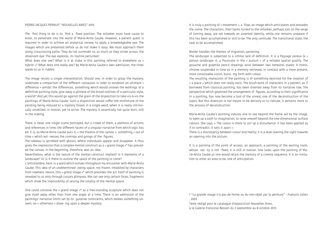### PIERRE-JACQUES PERNUIT "NOUVELLES AIRES" 2015

The first thing to do is to find a fixed position. The onlooker must have cause to enter, to penetrate into the world of Marie-Anita Gaube. However, a patient quest is required in order to achieve an analytical review, to apply a knowledgeable eye. The images which are presented before us do not make it easy: We must approach them along crisscrossing paths. They do not surrender to, as much as they stride across, the observant eye. The eye explores, its routine perturbed.

What does one see? What is it at stake in this painting referred to elsewhere as « hybrid »? What does one really see? By Marie-Anita Gaube's own admission, the titles speak to us in riddles.

The image resists a single interpretation. Should one, in order to grasp the mystery, undertake a comparison of the different canvasses in order to establish an ultimate « difference » amidst the differences, something which would unravel the workings of a definitive painting style, give away a glimpse of the broad outlines of a particular style, a world? And yet this would go against the grain of the disposition to take vis-à-vis the paintings of Marie-Anita Gaube. Such a disposition would suffer the misfortune of the painting being reduced to a mystery frozen in a single word, when it is really intrinsically unsettled, in motion, yet to arrive. The mystery is essentially not quite born, still in the making.

There is never one single scene portrayed, but a crowd of them, a plethora of actions and references in time, the different facets of a singular narrative from which logic has ed. It is, as Marie-Anita Gaube puts it, « the theatre of the canvas », something « out of time » which wit- nesses the comings and goings of the figures.

The tableau is sprinkled with ghosts, where individuals appear and disappear. It thus gives the impression that a complex mental construct as a « grand image »\* has preceded the canvas. In the beginning, therefore, was an idea.

Nevertheless, what is the nature of the mental construct implied? Is it elements of a landscape? Or is it there to outline the space of the painting to come?

L'antichambre, here, is a word which echoes throughout my encounter with Marie-Anita Gaube: This idea of an undetermined owing space, not frozen, inhabited by characters from nowhere. Hence, this « grand image »\* which precedes the act itself of painting is revealed to us only through cursory glimpses. We can see only certain faces, fragments which show the impossibility of seizing the totality of the mental space.

One could conceive the « grand image »\* as a free-standing sculpture which does not give itself away other than from one angle at a time. There is an admission of the paintings' narrative limits set by its gurative constraints, which evokes something unseen, an « otherness » draw- ing upon a deeper mystery.

It is truly a painting of « movement », a flow, an image which anticipates and precedes the scene. The characters, their backs turned to the onlooker, perhaps just on the verge of turning away, are set towards an asserted identity, while one remains unaware if this has been accomplished or still to be. The only certitude: The transitional state, the task to be accomplished.

Border handles the themes of migration, uprooting. The landscape is subjected to a similar lack of definition. It is a Paysage poreux (a « porous landscape »), a Poursuite in the « pursuit » of a reliable spatial quality. The gouache and graphite pencil drawings exist between two temporal states: A monochrome suspended in time as in a memory retrieved, in contrast with a more present, more conceivable vision, burst- ing forth with colour. The resulting impression of the painting is of something destined for the creation of « a place » which does not really exist. The brush-work of characters in a pattern, as if borrowed from classical painting, has been diverted away from its narrative role. The perspective which governed the arrangement of figures, according to their significance in a painting, has now become a tool of the unreal, one of the deconstruction of the topos. But this diversion is not meant to be derisory or to ridicule, it pertains more to the process of deconstruction.

Marie-Anita Gaube's painting induces one to see beyond the frame set by the image, to open up a path to imagination, to raise oneself beyond the one-dimensional surface colours. She says, « The colour is there to stir up a disturbance. It has been applied as if to contradict. It sets it apart ». There is a discrepancy between colour and reality; it is a lever leaning the sight towards an opening into the picture.

It is a painting of the point of access, an approach, a painting of the waiting room, whose nal- ity is not fixed; it is still in motion. One looks upon the painting of Marie-Anita Gaube as one would retain the memory of a cinema sequence. It is an invitation to enter an area to be, one of anticipation.

\* "La grande image n'a pas de forme ou du non-objet par la peinture" - François Julien

<sup>, 2003</sup>

Texte rédigé pour le catalogue d'exposistion Nouvelles Aires, à la Galerie Françoise Besson du 3 septembre au 8 octobre 2015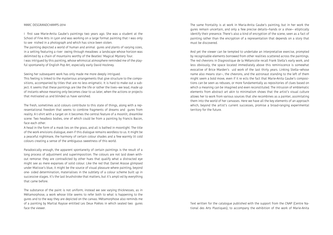### MARC DESGRANDCHAMPS-2014

I first saw Marie-Anita Gaube's paintings two years ago. She was a student at the School of Fine Arts in Lyon and was working on a large format painting that I was only to see nished in a photograph and which has since been stolen.

The painting depicted a world of human and animal gures and plants of varying sizes, in a setting featuring a river owing through meadows: a landscape whose horizon was delimited by a chain of mountains worthy of the Beatles' Magical Mystery Tour. I was intrigued by this painting, whose whimsical atmosphere reminded me of the playful spontaneity of English Pop Art, especially early David Hockney.

Seeing her subsequent work has only made me more deeply intrigued. This feeling is linked to the mysterious arrangements that give structure to the compositions, accompanied by titles that are no less enigmatic. It is hard to make out a subject. It seems that these paintings are like the life or rather the lives—we lead, made up of instants whose meaning only becomes clear to us later, when the actions or projects that motivated us and blinded us have vanished.

The fresh, sometimes acid colours contribute to this state of things, along with a representational freedom that seems to combine fragments of dreams and gures from reality. A t-shirt with a target on it becomes the central feature of a moonlit, dreamlike scene. Two headless bodies, one of which could be from a painting by Francis Bacon, face each other.

A head in the form of a mask lies on the grass, and all is bathed in moonlight. The title of the work envisions dialogue, even if this dialogue remains wordless to us. It might be a peaceful nightmare, the harmony of certain colour shades and a few warmly lit cold colours creating a sense of the ambiguous sweetness of this world.

Paradoxically enough, the apparent spontaneity of certain paintings is the result of a long process of adjustment and superimposition. The colours are not laid down without remorse: they are contradicted by other hues that qualify what a distracted eye might see as mere expanses of solid colour. Like the red that Daniel Arasse glimpsed under Matisse's blue, it might be the source of visual pleasure where painting, beyond one- sided determination, materialises in the subtlety of a colour scheme built up in successive stages. It's the last brushstroke that matters, but it's ampli ed by everything that came before.

The substance of the paint is not uniform; instead we see varying thicknesses, as in Métamorphose, a work whose title seems to refer both to what is happening to the gures and to the way they are depicted on the canvas. Métamorphose also reminds me of a painting by Martial Raysse entitled Les Deux Poètes in which seated two gures face the viewer.

The same frontality is at work in Maria-Anita Gaube's painting, but in her work the gures remain uncertain, and only a few precise details—hands or a shoe— elliptically identify their presence. There's also a kind of encryption of the scene, seen as a fact of painting rather than the encryption of a representation that depends on a story that must be discovered.

And yet the viewer can be tempted to undertake an interpretative exercise, prompted by recognisable elements borrowed from other realities scattered across the paintings. The red chevrons in Diagnostique de la Mélancolie recall Frank Stella's early work, and less obviously, the space located immediately above this reminiscence is somewhat evocative of Brice Marden's uid work of the last thirty years. Linking Stella—whose name also means star—, the chevrons, and the astronaut standing to the left of them might seem a bold move, even if it re ects the fact that Marie-Anita Gaube's compositions can be seen as rebuses, or more fundamentally as repositories of clues based on which a meaning can be imagined and even reconstituted. The intrusion of emblematic elements from abstract art akin to minimalism shows that the artist's visual culture allows her to work from various sources that she recombines as a painter, assimilating them into the world of her canvases. Here we have all the key elements of an approach which, beyond the artist's current successes, promise a broad-ranging experimental territory for the future.

Text written for the catalogue published with the support from the CNAP (Centre National des Arts Plastiques), to accompany the exhibition of the work of Marie-Anita